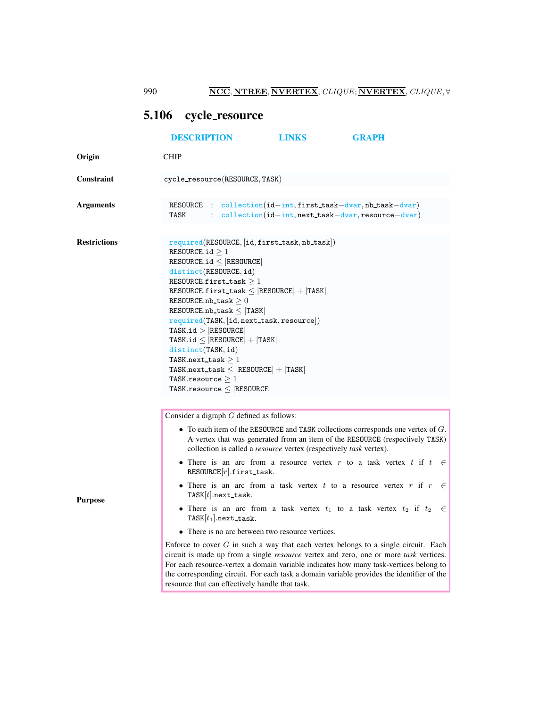990 **NCC**, NTREE, NVERTEX, CLIQUE; NVERTEX, CLIQUE, ∀

## <span id="page-0-0"></span>5.106 cycle resource

|                     | <b>DESCRIPTION</b>                                                                                                                                                                                                                                                                                                                                                                                                                                                                                                                                                                                                                                                                                                                                                                                                                                                                                                              | <b>LINKS</b>                                        | <b>GRAPH</b>                                                                                                                                                                                           |
|---------------------|---------------------------------------------------------------------------------------------------------------------------------------------------------------------------------------------------------------------------------------------------------------------------------------------------------------------------------------------------------------------------------------------------------------------------------------------------------------------------------------------------------------------------------------------------------------------------------------------------------------------------------------------------------------------------------------------------------------------------------------------------------------------------------------------------------------------------------------------------------------------------------------------------------------------------------|-----------------------------------------------------|--------------------------------------------------------------------------------------------------------------------------------------------------------------------------------------------------------|
| Origin              | <b>CHIP</b>                                                                                                                                                                                                                                                                                                                                                                                                                                                                                                                                                                                                                                                                                                                                                                                                                                                                                                                     |                                                     |                                                                                                                                                                                                        |
| Constraint          | cycle_resource(RESOURCE, TASK)                                                                                                                                                                                                                                                                                                                                                                                                                                                                                                                                                                                                                                                                                                                                                                                                                                                                                                  |                                                     |                                                                                                                                                                                                        |
| <b>Arguments</b>    | RESOURCE : collection(id-int,first_task-dvar,nb_task-dvar)<br><b>TASK</b>                                                                                                                                                                                                                                                                                                                                                                                                                                                                                                                                                                                                                                                                                                                                                                                                                                                       | : collection(id-int, next_task-dvar, resource-dvar) |                                                                                                                                                                                                        |
| <b>Restrictions</b> | $required(RESOWRCE, [id, first\_task, nb\_task])$<br>RESOURCE.id $\geq 1$<br>RESOURCE.id $\leq$ RESOURCE<br>distinct(RESOURCE, id)<br>RESOURCE.first_task $>1$<br>$RESOWRCE.first\_task \leq  RESOWRCE  +  TASK $<br>RESOURCE.nb_task $\geq 0$<br>$RESOWRCE.nb\_task \leq  TASK $<br>$required(TASK, [id, next\_task, resource])$<br>TASK.id >  RESOURCE <br>$TASK.id \leq  RESOURCE  +  TASK $<br>distinct(TASK, id)<br>TASK.next_task $>1$<br>$TASK.next\_task \leq  RESOWRCE  +  TASK $<br>TASK.resource $\geq 1$<br>TASK.resource $\leq$ RESOURCE                                                                                                                                                                                                                                                                                                                                                                           |                                                     |                                                                                                                                                                                                        |
| <b>Purpose</b>      | Consider a digraph $G$ defined as follows:<br>collection is called a <i>resource</i> vertex (respectively <i>task</i> vertex).<br>• There is an arc from a resource vertex r to a task vertex t if t<br>$RESOURCE r .$ first_task.<br>• There is an arc from a task vertex $t$ to a resource vertex $r$ if $r$<br>$TASK[t].next\_task.$<br>• There is an arc from a task vertex $t_1$ to a task vertex $t_2$ if $t_2$<br>$TASK[t_1].next\_task.$<br>• There is no arc between two resource vertices.<br>Enforce to cover $G$ in such a way that each vertex belongs to a single circuit. Each<br>circuit is made up from a single resource vertex and zero, one or more task vertices.<br>For each resource-vertex a domain variable indicates how many task-vertices belong to<br>the corresponding circuit. For each task a domain variable provides the identifier of the<br>resource that can effectively handle that task. |                                                     | $\bullet$ To each item of the RESOURCE and TASK collections corresponds one vertex of $G$ .<br>A vertex that was generated from an item of the RESOURCE (respectively TASK)<br>$\in$<br>$\in$<br>$\in$ |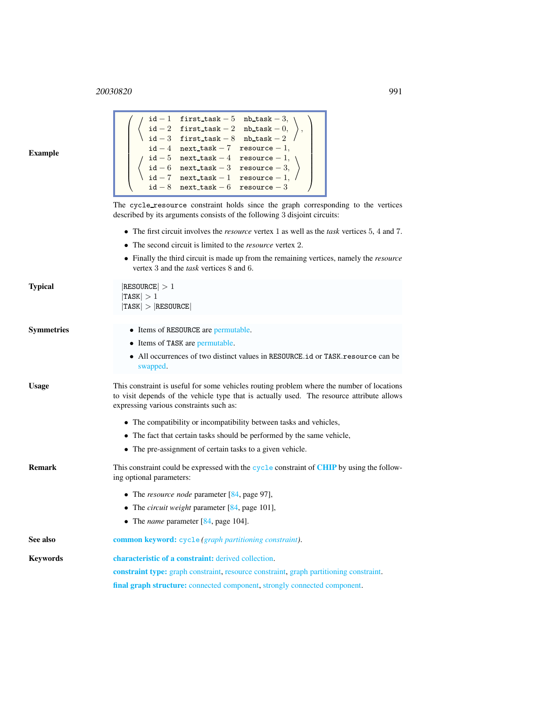## <sup>20030820</sup> 991

<span id="page-1-0"></span>

| Example      | ⊥u⊾<br>$\omega$ into table $\omega$ integrate $\upsilon$ ,<br>$\mathtt{id}-3$<br>first task $-8$ nb task $-2$ /<br>$id-4$ next_task - 7 resource - 1,<br>$id-5$ next_task - 4 resource - 1,<br>$id-6$ next_task - 3 resource - 3,<br>$id-7$ next task - 1 resource - 1,<br>$id-8$ next_task - 6 resource - 3 |  |  |
|--------------|--------------------------------------------------------------------------------------------------------------------------------------------------------------------------------------------------------------------------------------------------------------------------------------------------------------|--|--|
|              | The cycle_resource constraint holds since the graph corresponding to the vertices<br>described by its arguments consists of the following 3 disjoint circuits:                                                                                                                                               |  |  |
|              | • The first circuit involves the <i>resource</i> vertex 1 as well as the <i>task</i> vertices 5, 4 and 7.                                                                                                                                                                                                    |  |  |
|              | • The second circuit is limited to the <i>resource</i> vertex 2.                                                                                                                                                                                                                                             |  |  |
|              | • Finally the third circuit is made up from the remaining vertices, namely the <i>resource</i><br>vertex 3 and the <i>task</i> vertices 8 and 6.                                                                                                                                                             |  |  |
| Typical      | $ {\tt RESOURCE}  > 1$<br> TASK  > 1<br> TASK  >  RESOWRCE                                                                                                                                                                                                                                                   |  |  |
| Symmetries   | • Items of RESOURCE are permutable.                                                                                                                                                                                                                                                                          |  |  |
|              | • Items of TASK are permutable.                                                                                                                                                                                                                                                                              |  |  |
|              | • All occurrences of two distinct values in RESOURCE.id or TASK. resource can be<br>swapped.                                                                                                                                                                                                                 |  |  |
| <b>Usage</b> | This constraint is useful for some vehicles routing problem where the number of locations<br>to visit depends of the vehicle type that is actually used. The resource attribute allows<br>expressing various constraints such as:                                                                            |  |  |
|              | • The compatibility or incompatibility between tasks and vehicles,                                                                                                                                                                                                                                           |  |  |
|              | • The fact that certain tasks should be performed by the same vehicle,                                                                                                                                                                                                                                       |  |  |
|              | • The pre-assignment of certain tasks to a given vehicle.                                                                                                                                                                                                                                                    |  |  |
| Remark       | This constraint could be expressed with the cycle constraint of CHIP by using the follow-<br>ing optional parameters:                                                                                                                                                                                        |  |  |
|              | • The <i>resource node</i> parameter $[84, \text{page 97}]$ ,                                                                                                                                                                                                                                                |  |  |
|              | • The <i>circuit weight</i> parameter $[84, \text{page 101}]$ ,                                                                                                                                                                                                                                              |  |  |
|              | • The <i>name</i> parameter $[84, \text{page 104}]$ .                                                                                                                                                                                                                                                        |  |  |
| See also     | common keyword: cycle (graph partitioning constraint).                                                                                                                                                                                                                                                       |  |  |
| Keywords     | <b>characteristic of a constraint:</b> derived collection.                                                                                                                                                                                                                                                   |  |  |
|              | <b>constraint type:</b> graph constraint, resource constraint, graph partitioning constraint.                                                                                                                                                                                                                |  |  |
|              | final graph structure: connected component, strongly connected component.                                                                                                                                                                                                                                    |  |  |

 $\int$  id − 1 first\_task − 5 nb\_task − 3,

 $id - 2$  first\_task – 2 nb\_task – 0,

 $\setminus$ ,  $\setminus$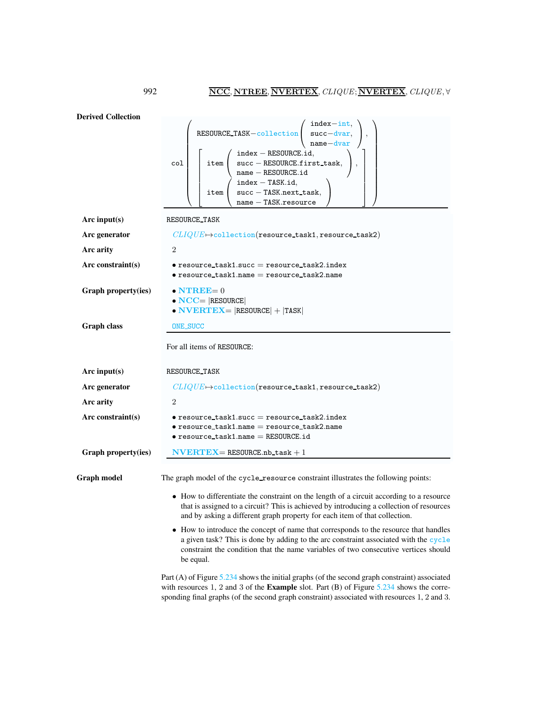Derived Collection col  $\sqrt{ }$  RESOURCE TASK−collection  $\sqrt{ }$  $\mathcal{L}$ index−int, succ−dvar, name−dvar  $\setminus$  $\vert$ ,  $\sqrt{ }$  $\overline{1}$  $\overline{\phantom{a}}$  $\overline{1}$  $\perp$  $\overline{\phantom{a}}$  $\overline{1}$  $\overline{1}$ item  $\sqrt{ }$  $\mathcal{L}$ index − RESOURCE.id, succ – RESOURCE.first\_task, name − RESOURCE.id  $\setminus$  $\vert$ , item  $\sqrt{ }$  $\overline{1}$  $index - TASK.id,$ succ – TASK.next\_task, name − TASK.resource  $\setminus$  $\overline{1}$ 1  $\mathbf{I}$  $\overline{1}$  $\mathbf{I}$  $\mathbf{I}$  $\overline{1}$  $\mathbf{I}$  $\mathbf{I}$  $\setminus$  $\begin{array}{c} \begin{array}{c} \begin{array}{c} \begin{array}{c} \end{array} \\ \end{array} \end{array} \end{array}$ Arc input(s) RESOURCE TASK Arc generator  $CLIQUE\rightarrow$ collection(resource\_task1, resource\_task2) Arc arity 2 Arc constraint(s) • resource\_task1.succ = resource\_task2.index  $\bullet$  resource\_task1.name = resource\_task2.name Graph property(ies)  $\bullet$  NTREE= 0  $\bullet$  NCC= |RESOURCE| • NVERTEX=  $|RESOWRCE|$  +  $|TASK|$ Graph class **ONE\_SUCC** For all items of RESOURCE: Arc input(s) RESOURCE\_TASK Arc generator  $CLIQUE \rightarrow$ collection(resource\_task1, resource\_task2) Arc arity 2  $Arc constraint(s) \qquad \bullet \text{ resource-task1}.\text{succ} = \text{resource-task2}.\text{index}$  $\bullet$  resource\_task1.name = resource\_task2.name  $\bullet$  resource\_task1.name = RESOURCE.id Graph property(ies)  $NVERTEX = RESOURCE.nb_t task + 1$ Graph model The graph model of the cycle resource constraint illustrates the following points: • How to differentiate the constraint on the length of a circuit according to a resource that is assigned to a circuit? This is achieved by introducing a collection of resources and by asking a different graph property for each item of that collection. • How to introduce the concept of name that corresponds to the resource that handles a given task? This is done by adding to the arc constraint associated with the cycle constraint the condition that the name variables of two consecutive vertices should be equal.

> Part (A) of Figure [5.234](#page-3-0) shows the initial graphs (of the second graph constraint) associated with resources 1, 2 and 3 of the **Example** slot. Part  $(B)$  of Figure [5.234](#page-3-0) shows the corresponding final graphs (of the second graph constraint) associated with resources 1, 2 and 3.

<span id="page-2-0"></span>